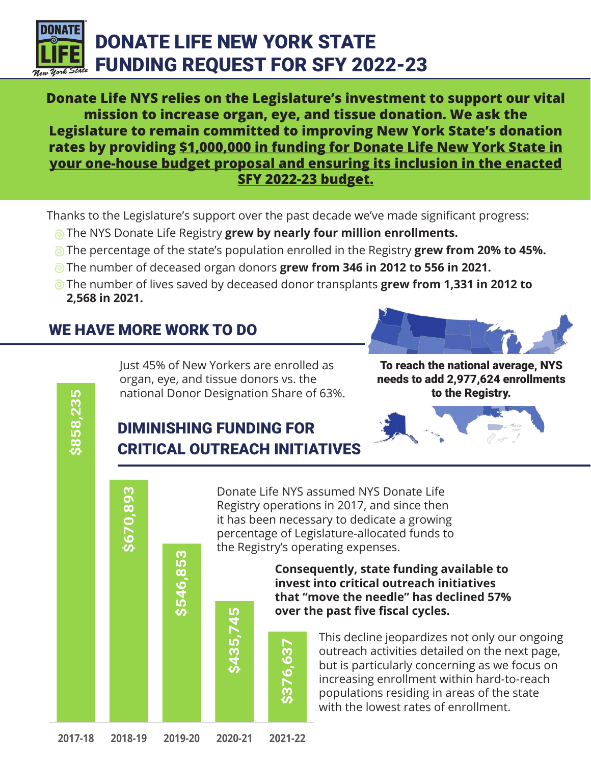

**Donate Life NYS relies on the Legislature's investment to support our vital mission to increase organ, eye, and tissue donation. We ask the Legislature to remain committed to improving New York State's donation rates by providing \$1,000,000 in funding for Donate Life New York State in your one-house budget proposal and ensuring its inclusion in the enacted SFY 2022-23 budget.**

Thanks to the Legislature's support over the past decade we've made significant progress:

- **The NYS Donate Life Registry grew by nearly four million enrollments.**
- The percentage of the state's population enrolled in the Registry **grew from 20% to 45%.**
- The number of deceased organ donors **grew from 346 in 2012 to 556 in 2021.**
- The number of lives saved by deceased donor transplants **grew from 1,331 in 2012 to 2,568 in 2021.**

# WE HAVE MORE WORK TO DO

**\$670,893**

**\$858,235**



Just 45% of New Yorkers are enrolled as organ, eye, and tissue donors vs. the national Donor Designation Share of 63%.

To reach the national average, NYS needs to add 2,977,624 enrollments to the Registry.

# DIMINISHING FUNDING FOR CRITICAL OUTREACH INITIATIVES

**\$435,745**

**\$376,637**

Donate Life NYS assumed NYS Donate Life Registry operations in 2017, and since then it has been necessary to dedicate a growing percentage of Legislature-allocated funds to the Registry's operating expenses.

> **Consequently, state funding available to invest into critical outreach initiatives that "move the needle" has declined 57% over the past five fiscal cycles.**

> > This decline jeopardizes not only our ongoing outreach activities detailed on the next page, but is particularly concerning as we focus on increasing enrollment within hard-to-reach populations residing in areas of the state with the lowest rates of enrollment.

**\$546,853**